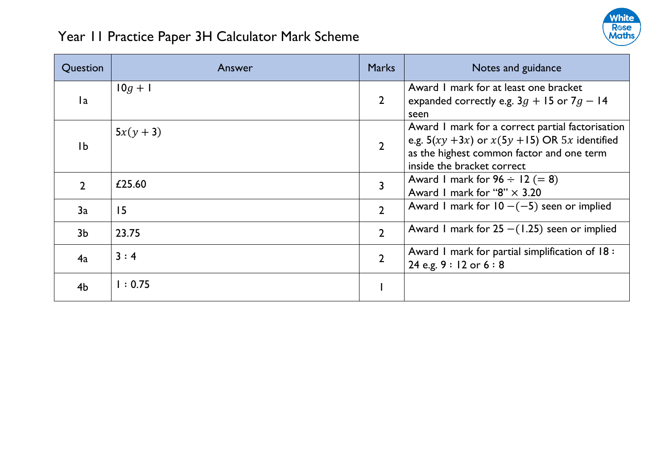

| Question       | Answer    | <b>Marks</b>   | Notes and guidance                                                                                                                                                                  |
|----------------|-----------|----------------|-------------------------------------------------------------------------------------------------------------------------------------------------------------------------------------|
| 1a             | $10g + 1$ | $\overline{2}$ | Award 1 mark for at least one bracket<br>expanded correctly e.g. $3g + 15$ or $7g - 14$<br>seen                                                                                     |
| Ib             | $5x(y+3)$ | $\overline{2}$ | Award I mark for a correct partial factorisation<br>e.g. $5(xy + 3x)$ or $x(5y + 15)$ OR $5x$ identified<br>as the highest common factor and one term<br>inside the bracket correct |
| $\mathcal{D}$  | £25.60    | 3              | Award I mark for $96 \div 12 (= 8)$<br>Award 1 mark for "8" $\times$ 3.20                                                                                                           |
| 3a             | 15        | $\overline{2}$ | Award I mark for $10 - (-5)$ seen or implied                                                                                                                                        |
| 3 <sub>b</sub> | 23.75     | $\overline{2}$ | Award 1 mark for $25 - (1.25)$ seen or implied                                                                                                                                      |
| 4a             | 3:4       | $\overline{2}$ | Award I mark for partial simplification of 18 :<br>24 e.g. $9:12$ or $6:8$                                                                                                          |
| 4 <sub>b</sub> | 1:0.75    |                |                                                                                                                                                                                     |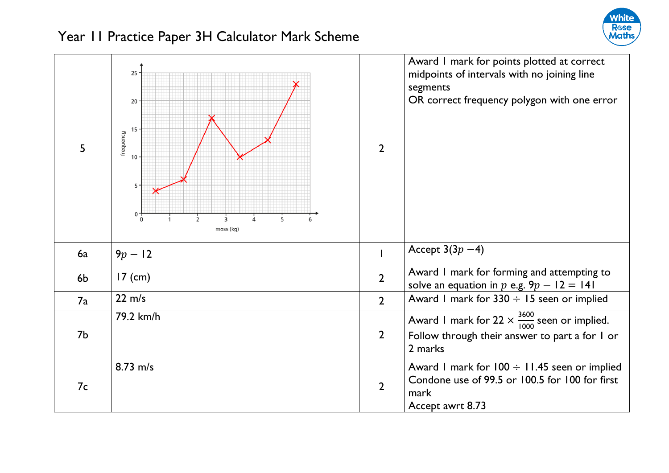

| 5         | 25<br>$20\,$<br>15<br>frequency<br>10<br>$5 -$<br>$0\frac{1}{0}$<br>5<br>$\overline{2}$<br>3<br>6<br>mass (kg) | $\overline{2}$ | Award I mark for points plotted at correct<br>midpoints of intervals with no joining line<br>segments<br>OR correct frequency polygon with one error |
|-----------|----------------------------------------------------------------------------------------------------------------|----------------|------------------------------------------------------------------------------------------------------------------------------------------------------|
| <b>6a</b> | $9p - 12$                                                                                                      |                | Accept $3(3p-4)$                                                                                                                                     |
| 6b        | $17$ (cm)                                                                                                      | $\overline{2}$ | Award I mark for forming and attempting to<br>solve an equation in p e.g. $9p - 12 = 141$                                                            |
| 7a        | $22 \text{ m/s}$                                                                                               | $\overline{2}$ | Award I mark for $330 \div 15$ seen or implied                                                                                                       |
| 7b        | 79.2 km/h                                                                                                      | $\overline{2}$ | Award 1 mark for 22 $\times \frac{3600}{1000}$ seen or implied.<br>Follow through their answer to part a for I or<br>2 marks                         |
| 7c        | 8.73 m/s                                                                                                       | $\overline{2}$ | Award I mark for $100 \div 11.45$ seen or implied<br>Condone use of 99.5 or 100.5 for 100 for first<br>mark<br>Accept awrt 8.73                      |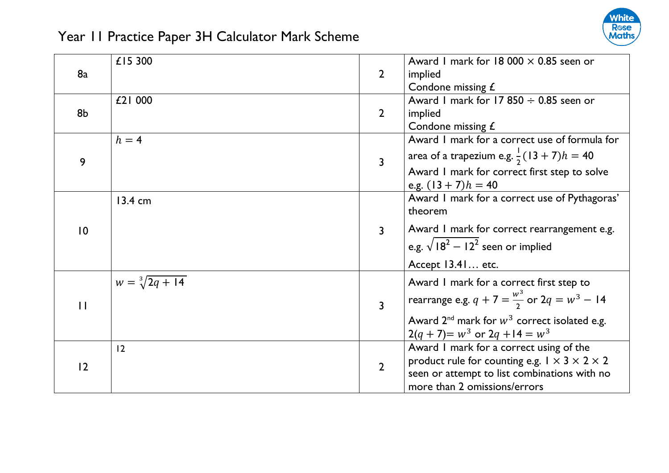

|                | £15 300                 |                | Award 1 mark for 18 000 $\times$ 0.85 seen or                 |
|----------------|-------------------------|----------------|---------------------------------------------------------------|
| 8a             |                         | $\overline{2}$ | implied                                                       |
|                |                         |                | Condone missing £                                             |
|                | £21 000                 |                | Award 1 mark for 17 850 $\div$ 0.85 seen or                   |
| 8b             |                         | $\overline{2}$ | implied                                                       |
|                |                         |                | Condone missing £                                             |
|                | $h = 4$                 |                | Award I mark for a correct use of formula for                 |
| 9              |                         | $\mathbf{3}$   | area of a trapezium e.g. $\frac{1}{2}(13 + 7)h = 40$          |
|                |                         |                | Award I mark for correct first step to solve                  |
|                |                         |                | e.g. $(13 + 7)h = 40$                                         |
|                | $13.4 \text{ cm}$       |                | Award I mark for a correct use of Pythagoras'                 |
|                |                         |                | theorem                                                       |
| $\overline{0}$ |                         | $\overline{3}$ | Award I mark for correct rearrangement e.g.                   |
|                |                         |                | e.g. $\sqrt{18^2 - 12^2}$ seen or implied                     |
|                |                         |                | Accept 13.41 etc.                                             |
|                | $w = \sqrt[3]{2q + 14}$ |                | Award I mark for a correct first step to                      |
| $\mathbf{H}$   |                         | $\overline{3}$ | rearrange e.g. $q + 7 = \frac{w^3}{2}$ or $2q = w^3 - 14$     |
|                |                         |                | Award $2^{nd}$ mark for $w^3$ correct isolated e.g.           |
|                |                         |                | $2(q + 7) = w^3$ or $2q + 14 = w^3$                           |
|                | 12                      |                | Award I mark for a correct using of the                       |
| 12             |                         | $\overline{2}$ | product rule for counting e.g. $1 \times 3 \times 2 \times 2$ |
|                |                         |                | seen or attempt to list combinations with no                  |
|                |                         |                | more than 2 omissions/errors                                  |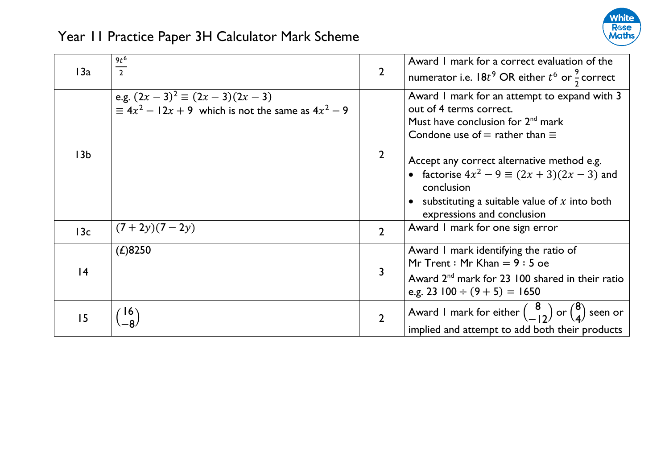

| 13a             | $\frac{9t^6}{2}$                                                                              | $\overline{2}$ | Award I mark for a correct evaluation of the<br>numerator i.e. $18t^9$ OR either $t^6$ or $\frac{9}{2}$ correct                                                                                |
|-----------------|-----------------------------------------------------------------------------------------------|----------------|------------------------------------------------------------------------------------------------------------------------------------------------------------------------------------------------|
|                 | e.g. $(2x-3)^2 \equiv (2x-3)(2x-3)$<br>= $4x^2 - 12x + 9$ which is not the same as $4x^2 - 9$ |                | Award I mark for an attempt to expand with 3<br>out of 4 terms correct.<br>Must have conclusion for $2^{nd}$ mark<br>Condone use of $=$ rather than $\equiv$                                   |
| 13 <sub>b</sub> |                                                                                               | $\overline{2}$ | Accept any correct alternative method e.g.<br>• factorise $4x^2 - 9 \equiv (2x + 3)(2x - 3)$ and<br>conclusion<br>substituting a suitable value of $x$ into both<br>expressions and conclusion |
| 13c             | $(7+2y)(7-2y)$                                                                                | $\overline{2}$ | Award I mark for one sign error                                                                                                                                                                |
| 4               | (L)8250                                                                                       | 3              | Award I mark identifying the ratio of<br>Mr Trent: Mr Khan $= 9:5$ oe<br>Award 2 <sup>nd</sup> mark for 23 100 shared in their ratio<br>e.g. 23 $100 \div (9 + 5) = 1650$                      |
| 15              |                                                                                               | $\overline{2}$ | Award I mark for either $\begin{pmatrix} 8 \\ -12 \end{pmatrix}$ or $\begin{pmatrix} 8 \\ 4 \end{pmatrix}$ seen or<br>implied and attempt to add both their products                           |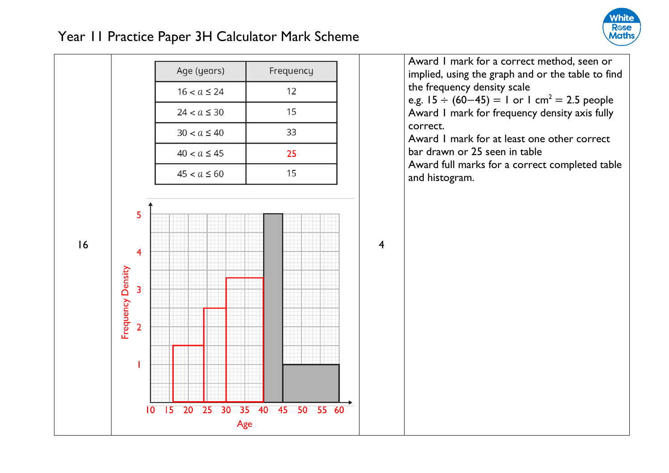

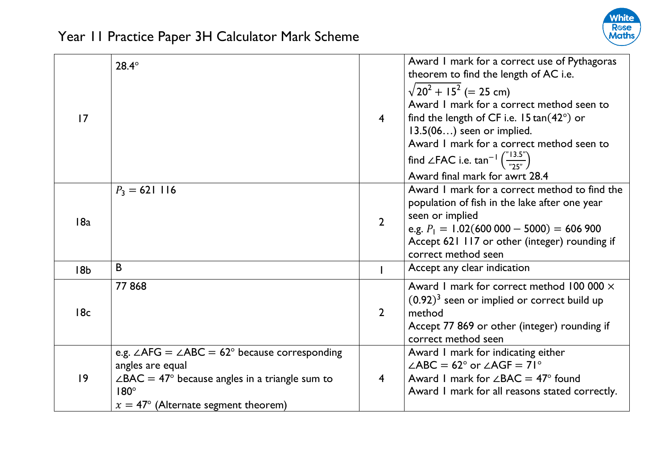

| 17              | $28.4^\circ$                                                                                                                                                                                                     | $\overline{4}$ | Award I mark for a correct use of Pythagoras<br>theorem to find the length of AC i.e.<br>$\sqrt{20^2 + 15^2}$ (= 25 cm)<br>Award I mark for a correct method seen to<br>find the length of CF i.e. $15 \tan(42^\circ)$ or<br>$13.5(06)$ seen or implied.<br>Award I mark for a correct method seen to<br>find $\angle$ FAC i.e. tan <sup>-1</sup> $\left(\frac{m}{n} \sum_{n=1}^{\infty} \right)$<br>Award final mark for awrt 28.4 |
|-----------------|------------------------------------------------------------------------------------------------------------------------------------------------------------------------------------------------------------------|----------------|-------------------------------------------------------------------------------------------------------------------------------------------------------------------------------------------------------------------------------------------------------------------------------------------------------------------------------------------------------------------------------------------------------------------------------------|
| 18a             | $P_3 = 621116$                                                                                                                                                                                                   | $\overline{2}$ | Award I mark for a correct method to find the<br>population of fish in the lake after one year<br>seen or implied<br>e.g. $P_1 = 1.02(600\,000 - 5000) = 606\,900$<br>Accept 621 117 or other (integer) rounding if<br>correct method seen                                                                                                                                                                                          |
| 18 <sub>b</sub> | B                                                                                                                                                                                                                |                | Accept any clear indication                                                                                                                                                                                                                                                                                                                                                                                                         |
| 18c             | 77868                                                                                                                                                                                                            | $\overline{2}$ | Award I mark for correct method 100 000 $\times$<br>$(0.92)^3$ seen or implied or correct build up<br>method<br>Accept 77 869 or other (integer) rounding if<br>correct method seen                                                                                                                                                                                                                                                 |
| $ 9\rangle$     | e.g. $\angle$ AFG = $\angle$ ABC = 62° because corresponding<br>angles are equal<br>$\angle BAC = 47^{\circ}$ because angles in a triangle sum to<br>$180^\circ$<br>$x = 47^{\circ}$ (Alternate segment theorem) | $\overline{4}$ | Award I mark for indicating either<br>$\angle ABC = 62^{\circ}$ or $\angle AGF = 71^{\circ}$<br>Award 1 mark for $\angle BAC = 47^{\circ}$ found<br>Award I mark for all reasons stated correctly.                                                                                                                                                                                                                                  |